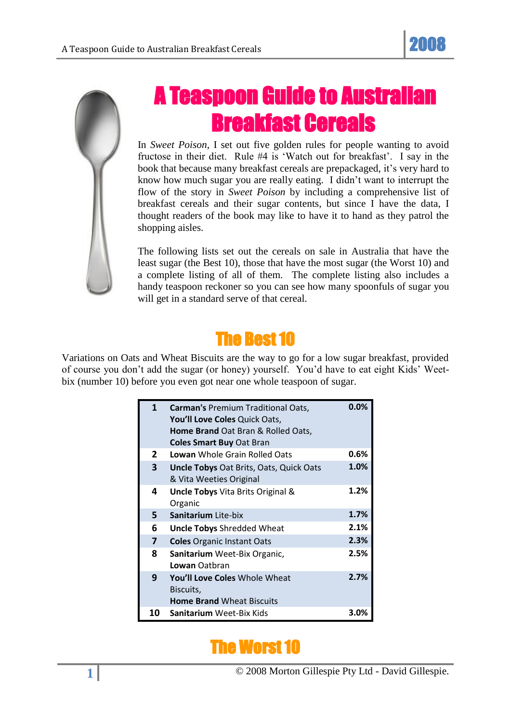

## A Teaspoon Guide to Australian Breakfast Cereals

In *Sweet Poison*, I set out five golden rules for people wanting to avoid fructose in their diet. Rule #4 is 'Watch out for breakfast'. I say in the book that because many breakfast cereals are prepackaged, it's very hard to know how much sugar you are really eating. I didn't want to interrupt the flow of the story in *Sweet Poison* by including a comprehensive list of breakfast cereals and their sugar contents, but since I have the data, I thought readers of the book may like to have it to hand as they patrol the shopping aisles.

The following lists set out the cereals on sale in Australia that have the least sugar (the Best 10), those that have the most sugar (the Worst 10) and a complete listing of all of them. The complete listing also includes a handy teaspoon reckoner so you can see how many spoonfuls of sugar you will get in a standard serve of that cereal.

## The Best 10

Variations on Oats and Wheat Biscuits are the way to go for a low sugar breakfast, provided of course you don't add the sugar (or honey) yourself. You'd have to eat eight Kids' Weetbix (number 10) before you even got near one whole teaspoon of sugar.

| 1            | Carman's Premium Traditional Oats,       | 0.0%    |
|--------------|------------------------------------------|---------|
|              | You'll Love Coles Quick Oats,            |         |
|              | Home Brand Oat Bran & Rolled Oats,       |         |
|              | <b>Coles Smart Buy Oat Bran</b>          |         |
| $\mathbf{2}$ | <b>Lowan</b> Whole Grain Rolled Oats     | 0.6%    |
| 3            | Uncle Tobys Oat Brits, Oats, Quick Oats  | 1.0%    |
|              | & Vita Weeties Original                  |         |
| 4            | <b>Uncle Tobys</b> Vita Brits Original & | 1.2%    |
|              | Organic                                  |         |
| 5.           | Sanitarium Lite-bix                      | 1.7%    |
| 6            | <b>Uncle Tobys Shredded Wheat</b>        | 2.1%    |
| 7            | <b>Coles Organic Instant Oats</b>        | 2.3%    |
| 8            | Sanitarium Weet-Bix Organic,             | 2.5%    |
|              | Lowan Oatbran                            |         |
| 9            | You'll Love Coles Whole Wheat            | 2.7%    |
|              | Biscuits,                                |         |
|              | <b>Home Brand Wheat Biscuits</b>         |         |
| 10           | <b>Sanitarium Weet-Bix Kids</b>          | $3.0\%$ |

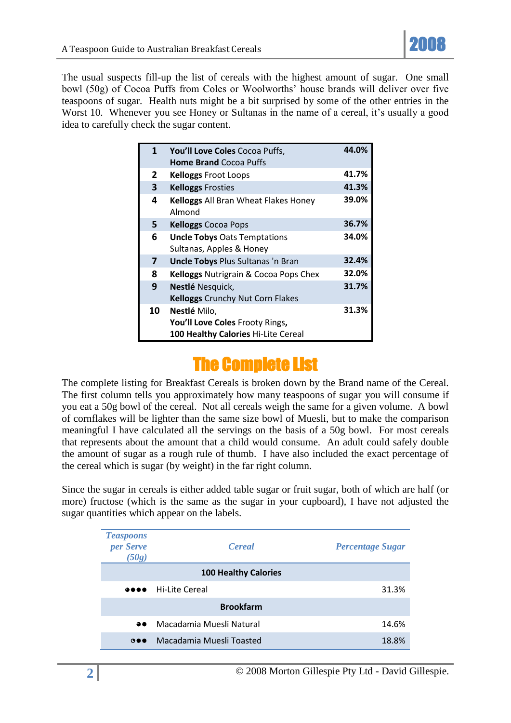

The usual suspects fill-up the list of cereals with the highest amount of sugar. One small bowl (50g) of Cocoa Puffs from Coles or Woolworths' house brands will deliver over five teaspoons of sugar. Health nuts might be a bit surprised by some of the other entries in the Worst 10. Whenever you see Honey or Sultanas in the name of a cereal, it's usually a good idea to carefully check the sugar content.

| $\mathbf{1}$ | You'll Love Coles Cocoa Puffs,                 | 44.0% |
|--------------|------------------------------------------------|-------|
|              | <b>Home Brand Cocoa Puffs</b>                  |       |
| 2            | <b>Kelloggs Froot Loops</b>                    | 41.7% |
| 3            | <b>Kelloggs Frosties</b>                       | 41.3% |
| 4            | Kelloggs All Bran Wheat Flakes Honey<br>Almond | 39.0% |
| 5.           | <b>Kelloggs Cocoa Pops</b>                     | 36.7% |
| 6            | <b>Uncle Tobys Oats Temptations</b>            | 34.0% |
|              | Sultanas, Apples & Honey                       |       |
| 7            | <b>Uncle Tobys Plus Sultanas 'n Bran</b>       | 32.4% |
| 8            | Kelloggs Nutrigrain & Cocoa Pops Chex          | 32.0% |
| 9            | Nestlé Nesquick,                               | 31.7% |
|              | <b>Kelloggs Crunchy Nut Corn Flakes</b>        |       |
| 10           | Nestlé Milo,                                   | 31.3% |
|              | You'll Love Coles Frooty Rings,                |       |
|              | 100 Healthy Calories Hi-Lite Cereal            |       |

## The Complete List

The complete listing for Breakfast Cereals is broken down by the Brand name of the Cereal. The first column tells you approximately how many teaspoons of sugar you will consume if you eat a 50g bowl of the cereal. Not all cereals weigh the same for a given volume. A bowl of cornflakes will be lighter than the same size bowl of Muesli, but to make the comparison meaningful I have calculated all the servings on the basis of a 50g bowl. For most cereals that represents about the amount that a child would consume. An adult could safely double the amount of sugar as a rough rule of thumb. I have also included the exact percentage of the cereal which is sugar (by weight) in the far right column.

Since the sugar in cereals is either added table sugar or fruit sugar, both of which are half (or more) fructose (which is the same as the sugar in your cupboard), I have not adjusted the sugar quantities which appear on the labels.

| <b>Teaspoons</b><br>per Serve<br>(50g)                                               | <b>Cereal</b>               | <b>Percentage Sugar</b> |
|--------------------------------------------------------------------------------------|-----------------------------|-------------------------|
|                                                                                      | <b>100 Healthy Calories</b> |                         |
| $\begin{array}{ccccc}\n\bullet & \bullet & \bullet & \bullet & \bullet\n\end{array}$ | Hi-Lite Cereal              | 31.3%                   |
|                                                                                      | <b>Brookfarm</b>            |                         |
| $\bullet\bullet$                                                                     | Macadamia Muesli Natural    | 14.6%                   |
| $\bullet\bullet$                                                                     | Macadamia Muesli Toasted    | 18.8%                   |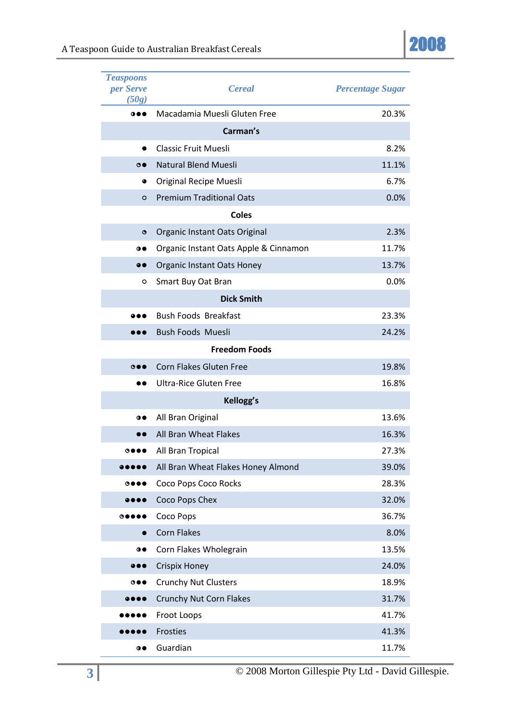| <b>Teaspoons</b><br>per Serve<br>(50g) | <b>Cereal</b>                         | <b>Percentage Sugar</b> |
|----------------------------------------|---------------------------------------|-------------------------|
| 0 0 0                                  | Macadamia Muesli Gluten Free          | 20.3%                   |
|                                        | Carman's                              |                         |
| 0                                      | <b>Classic Fruit Muesli</b>           | 8.2%                    |
| $\bullet$                              | Natural Blend Muesli                  | 11.1%                   |
| ٠                                      | <b>Original Recipe Muesli</b>         | 6.7%                    |
| O                                      | <b>Premium Traditional Oats</b>       | 0.0%                    |
|                                        | <b>Coles</b>                          |                         |
| $\bullet$                              | Organic Instant Oats Original         | 2.3%                    |
| $\bullet\bullet$                       | Organic Instant Oats Apple & Cinnamon | 11.7%                   |
| $\bullet\bullet$                       | <b>Organic Instant Oats Honey</b>     | 13.7%                   |
| o                                      | Smart Buy Oat Bran                    | 0.0%                    |
|                                        | <b>Dick Smith</b>                     |                         |
|                                        | <b>Bush Foods Breakfast</b>           | 23.3%                   |
|                                        | <b>Bush Foods Muesli</b>              | 24.2%                   |
|                                        | <b>Freedom Foods</b>                  |                         |
| $\circ \bullet \bullet$                | Corn Flakes Gluten Free               | 19.8%                   |
|                                        | <b>Ultra-Rice Gluten Free</b>         | 16.8%                   |
|                                        | Kellogg's                             |                         |
| $\bullet\bullet$                       | All Bran Original                     | 13.6%                   |
|                                        | All Bran Wheat Flakes                 | 16.3%                   |
|                                        | All Bran Tropical                     | 27.3%                   |
|                                        | All Bran Wheat Flakes Honey Almond    | 39.0%                   |
| $\bullet\bullet\bullet$                | Coco Pops Coco Rocks                  | 28.3%                   |
|                                        | Coco Pops Chex                        | 32.0%                   |
| $\circ\bullet\bullet\bullet$           | Coco Pops                             | 36.7%                   |
|                                        | <b>Corn Flakes</b>                    | 8.0%                    |
| $\bullet\bullet$                       | Corn Flakes Wholegrain                | 13.5%                   |
|                                        | <b>Crispix Honey</b>                  | 24.0%                   |
| $\bullet\bullet\bullet$                | <b>Crunchy Nut Clusters</b>           | 18.9%                   |
| $\bullet\bullet\bullet\bullet$         | Crunchy Nut Corn Flakes               | 31.7%                   |
| ,,,                                    | Froot Loops                           | 41.7%                   |
|                                        | Frosties                              | 41.3%                   |
| $\bullet\bullet$                       | Guardian                              | 11.7%                   |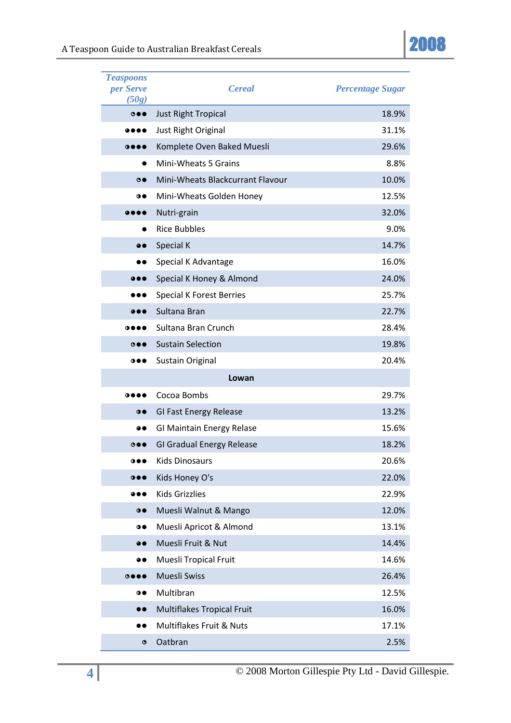

| <b>Teaspoons</b><br>per Serve<br>(50g) | <b>Cereal</b>                    | <b>Percentage Sugar</b> |
|----------------------------------------|----------------------------------|-------------------------|
| $\bullet\bullet\bullet$                | Just Right Tropical              | 18.9%                   |
|                                        | Just Right Original              | 31.1%                   |
| 0000                                   | Komplete Oven Baked Muesli       | 29.6%                   |
|                                        | Mini-Wheats 5 Grains             | 8.8%                    |
| $\bullet$                              | Mini-Wheats Blackcurrant Flavour | 10.0%                   |
| $\bullet\bullet$                       | Mini-Wheats Golden Honey         | 12.5%                   |
|                                        | Nutri-grain                      | 32.0%                   |
|                                        | <b>Rice Bubbles</b>              | 9.0%                    |
| $\bullet\bullet$                       | Special K                        | 14.7%                   |
| D O                                    | Special K Advantage              | 16.0%                   |
|                                        | Special K Honey & Almond         | 24.0%                   |
|                                        | <b>Special K Forest Berries</b>  | 25.7%                   |
| $\bullet\bullet\bullet$                | Sultana Bran                     | 22.7%                   |
| 0000                                   | Sultana Bran Crunch              | 28.4%                   |
| $\bullet\bullet\bullet$                | <b>Sustain Selection</b>         | 19.8%                   |
| $\bullet\bullet\bullet$                | <b>Sustain Original</b>          | 20.4%                   |
|                                        | Lowan                            |                         |
| 0 0 0 0                                | Cocoa Bombs                      | 29.7%                   |
| $\bullet$                              | <b>GI Fast Energy Release</b>    | 13.2%                   |
|                                        | GI Maintain Energy Relase        | 15.6%                   |
| $\circ \bullet \bullet$                | <b>GI Gradual Energy Release</b> | 18.2%                   |
| 0 0 0                                  | <b>Kids Dinosaurs</b>            | 20.6%                   |
| 000                                    | Kids Honey O's                   | 22.0%                   |
| $\bullet\bullet\bullet$                | <b>Kids Grizzlies</b>            | 22.9%                   |
| $\bullet$                              | Muesli Walnut & Mango            | 12.0%                   |
| $\bullet\bullet$                       | Muesli Apricot & Almond          | 13.1%                   |
| $\bullet\bullet$                       | Muesli Fruit & Nut               | 14.4%                   |
| 90                                     | Muesli Tropical Fruit            | 14.6%                   |
| $\circ\bullet\bullet\bullet$           | Muesli Swiss                     | 26.4%                   |
| $\bullet$                              | Multibran                        | 12.5%                   |
| $\bullet\bullet$                       | Multiflakes Tropical Fruit       | 16.0%                   |
|                                        | Multiflakes Fruit & Nuts         | 17.1%                   |
| $\bullet$                              | Oatbran                          | 2.5%                    |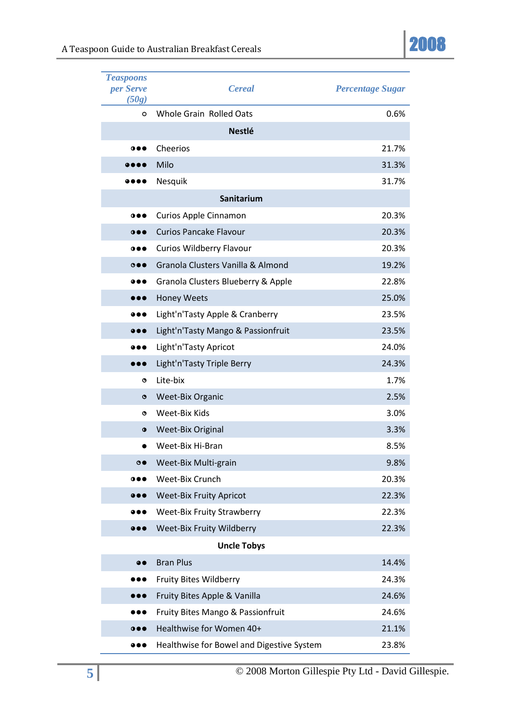

| <b>Teaspoons</b><br>per Serve<br>(50g) | <b>Cereal</b>                             | <b>Percentage Sugar</b> |
|----------------------------------------|-------------------------------------------|-------------------------|
| $\circ$                                | Whole Grain Rolled Oats                   | 0.6%                    |
|                                        | <b>Nestlé</b>                             |                         |
| 000                                    | Cheerios                                  | 21.7%                   |
|                                        | Milo                                      | 31.3%                   |
|                                        | Nesquik                                   | 31.7%                   |
|                                        | Sanitarium                                |                         |
| $\bullet\bullet\bullet$                | Curios Apple Cinnamon                     | 20.3%                   |
| 000                                    | <b>Curios Pancake Flavour</b>             | 20.3%                   |
| $\bullet\bullet\bullet$                | Curios Wildberry Flavour                  | 20.3%                   |
| $\circ \bullet \bullet$                | Granola Clusters Vanilla & Almond         | 19.2%                   |
|                                        | Granola Clusters Blueberry & Apple        | 22.8%                   |
|                                        | <b>Honey Weets</b>                        | 25.0%                   |
|                                        | Light'n'Tasty Apple & Cranberry           | 23.5%                   |
|                                        | Light'n'Tasty Mango & Passionfruit        | 23.5%                   |
| D O                                    | Light'n'Tasty Apricot                     | 24.0%                   |
| ,,,                                    | Light'n'Tasty Triple Berry                | 24.3%                   |
| ۰                                      | Lite-bix                                  | 1.7%                    |
| ۰                                      | <b>Weet-Bix Organic</b>                   | 2.5%                    |
| ۰                                      | Weet-Bix Kids                             | 3.0%                    |
| $\bullet$                              | <b>Weet-Bix Original</b>                  | 3.3%                    |
|                                        | Weet-Bix Hi-Bran                          | 8.5%                    |
| $\bullet$                              | Weet-Bix Multi-grain                      | 9.8%                    |
| $\bullet\bullet\bullet$                | Weet-Bix Crunch                           | 20.3%                   |
| $\bullet\bullet\bullet$                | <b>Weet-Bix Fruity Apricot</b>            | 22.3%                   |
|                                        | <b>Weet-Bix Fruity Strawberry</b>         | 22.3%                   |
|                                        | Weet-Bix Fruity Wildberry                 | 22.3%                   |
|                                        | <b>Uncle Tobys</b>                        |                         |
| $\bullet\bullet$                       | <b>Bran Plus</b>                          | 14.4%                   |
|                                        | Fruity Bites Wildberry                    | 24.3%                   |
| ,,,                                    | Fruity Bites Apple & Vanilla              | 24.6%                   |
|                                        | Fruity Bites Mango & Passionfruit         | 24.6%                   |
| $\bullet\bullet\bullet$                | Healthwise for Women 40+                  | 21.1%                   |
|                                        | Healthwise for Bowel and Digestive System | 23.8%                   |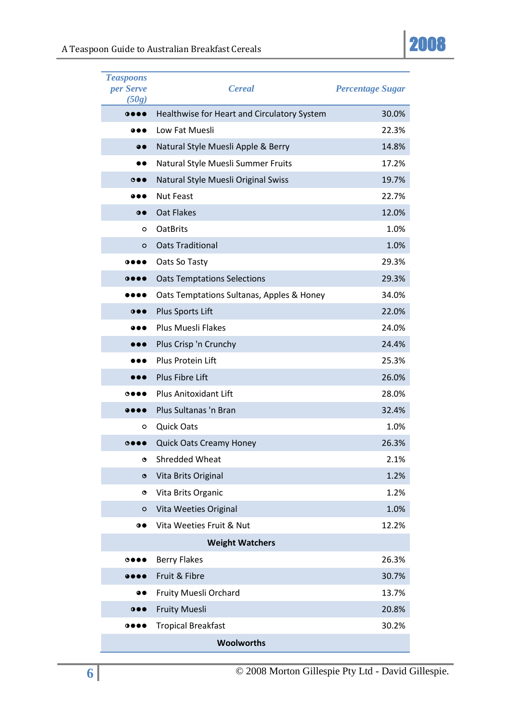

| <b>Teaspoons</b><br>per Serve<br>(50g) | <b>Cereal</b>                               | <b>Percentage Sugar</b> |
|----------------------------------------|---------------------------------------------|-------------------------|
| 0000                                   | Healthwise for Heart and Circulatory System | 30.0%                   |
|                                        | Low Fat Muesli                              | 22.3%                   |
| $\bullet\bullet$                       | Natural Style Muesli Apple & Berry          | 14.8%                   |
|                                        | Natural Style Muesli Summer Fruits          | 17.2%                   |
| $\circ \bullet \bullet$                | Natural Style Muesli Original Swiss         | 19.7%                   |
|                                        | <b>Nut Feast</b>                            | 22.7%                   |
| $\bullet\bullet$                       | Oat Flakes                                  | 12.0%                   |
| o                                      | <b>OatBrits</b>                             | 1.0%                    |
| O                                      | <b>Oats Traditional</b>                     | 1.0%                    |
| 0000                                   | Oats So Tasty                               | 29.3%                   |
| 0000                                   | <b>Oats Temptations Selections</b>          | 29.3%                   |
| .                                      | Oats Temptations Sultanas, Apples & Honey   | 34.0%                   |
| 0 0 0                                  | Plus Sports Lift                            | 22.0%                   |
|                                        | Plus Muesli Flakes                          | 24.0%                   |
| ,,,                                    | Plus Crisp 'n Crunchy                       | 24.4%                   |
| D O                                    | Plus Protein Lift                           | 25.3%                   |
|                                        | Plus Fibre Lift                             | 26.0%                   |
| $\bullet\bullet\bullet$                | <b>Plus Anitoxidant Lift</b>                | 28.0%                   |
|                                        | Plus Sultanas 'n Bran                       | 32.4%                   |
| ο                                      | <b>Quick Oats</b>                           | 1.0%                    |
| $\bullet\bullet\bullet$                | <b>Quick Oats Creamy Honey</b>              | 26.3%                   |
| ٥                                      | <b>Shredded Wheat</b>                       | 2.1%                    |
| O                                      | Vita Brits Original                         | 1.2%                    |
| ٥                                      | Vita Brits Organic                          | 1.2%                    |
| O                                      | Vita Weeties Original                       | 1.0%                    |
| $\bullet\bullet$                       | Vita Weeties Fruit & Nut                    | 12.2%                   |
|                                        | <b>Weight Watchers</b>                      |                         |
| $\circ\bullet\bullet\bullet$           | <b>Berry Flakes</b>                         | 26.3%                   |
|                                        | Fruit & Fibre                               | 30.7%                   |
| 90                                     | Fruity Muesli Orchard                       | 13.7%                   |
| $\bullet\bullet\bullet$                | <b>Fruity Muesli</b>                        | 20.8%                   |
| $\bullet\bullet\bullet$                | <b>Tropical Breakfast</b>                   | 30.2%                   |
|                                        | <b>Woolworths</b>                           |                         |